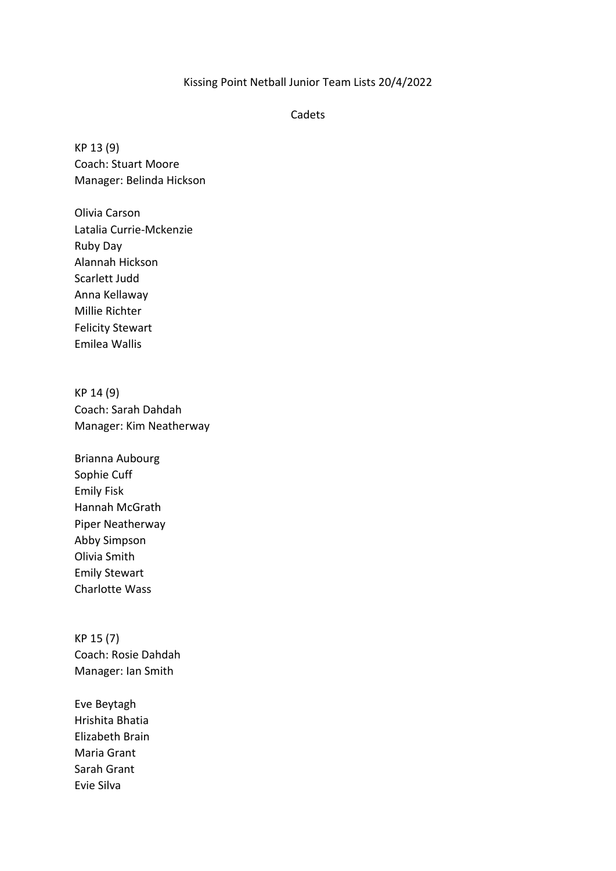## Kissing Point Netball Junior Team Lists 20/4/2022

## Cadets

KP 13 (9) Coach: Stuart Moore Manager: Belinda Hickson

Olivia Carson Latalia Currie-Mckenzie Ruby Day Alannah Hickson Scarlett Judd Anna Kellaway Millie Richter Felicity Stewart Emilea Wallis

KP 14 (9) Coach: Sarah Dahdah Manager: Kim Neatherway

Brianna Aubourg Sophie Cuff Emily Fisk Hannah McGrath Piper Neatherway Abby Simpson Olivia Smith Emily Stewart Charlotte Wass

KP 15 (7) Coach: Rosie Dahdah Manager: Ian Smith

Eve Beytagh Hrishita Bhatia Elizabeth Brain Maria Grant Sarah Grant Evie Silva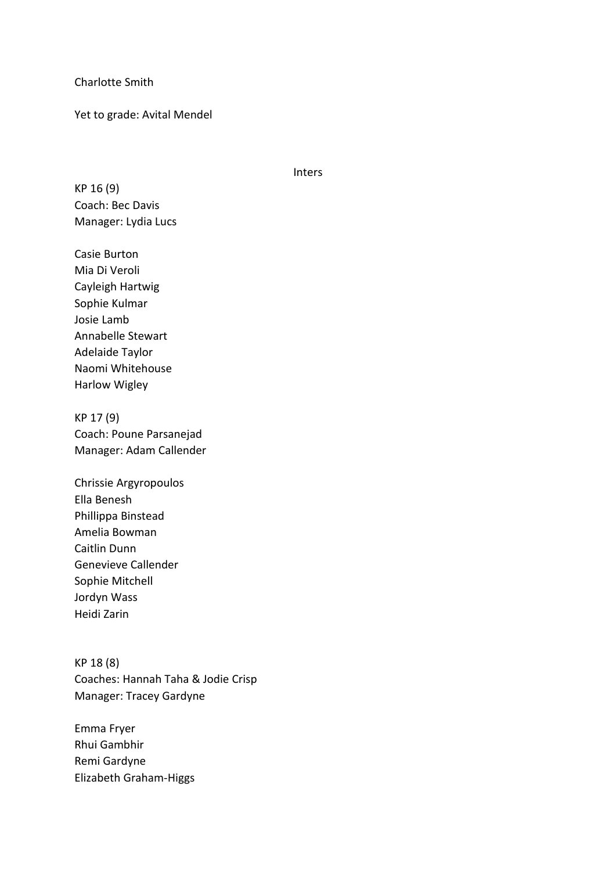Charlotte Smith

Yet to grade: Avital Mendel

Inters

KP 16 (9) Coach: Bec Davis Manager: Lydia Lucs

Casie Burton Mia Di Veroli Cayleigh Hartwig Sophie Kulmar Josie Lamb Annabelle Stewart Adelaide Taylor Naomi Whitehouse Harlow Wigley

KP 17 (9) Coach: Poune Parsanejad Manager: Adam Callender

Chrissie Argyropoulos Ella Benesh Phillippa Binstead Amelia Bowman Caitlin Dunn Genevieve Callender Sophie Mitchell Jordyn Wass Heidi Zarin

KP 18 (8) Coaches: Hannah Taha & Jodie Crisp Manager: Tracey Gardyne

Emma Fryer Rhui Gambhir Remi Gardyne Elizabeth Graham-Higgs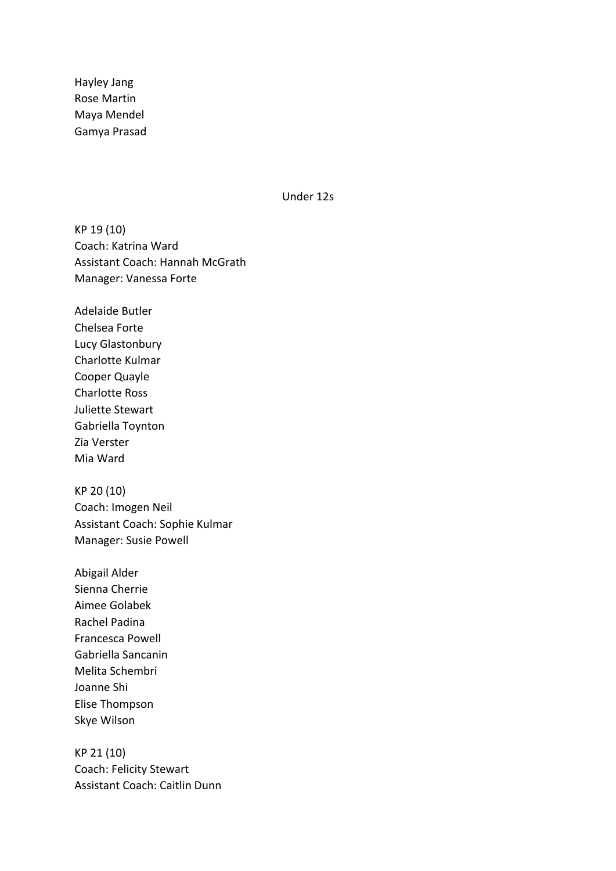Hayley Jang Rose Martin Maya Mendel Gamya Prasad

Under 12s

KP 19 (10) Coach: Katrina Ward Assistant Coach: Hannah McGrath Manager: Vanessa Forte

Adelaide Butler Chelsea Forte Lucy Glastonbury Charlotte Kulmar Cooper Quayle Charlotte Ross Juliette Stewart Gabriella Toynton Zia Verster Mia Ward

KP 20 (10) Coach: Imogen Neil Assistant Coach: Sophie Kulmar Manager: Susie Powell

Abigail Alder Sienna Cherrie Aimee Golabek Rachel Padina Francesca Powell Gabriella Sancanin Melita Schembri Joanne Shi Elise Thompson Skye Wilson

KP 21 (10) Coach: Felicity Stewart Assistant Coach: Caitlin Dunn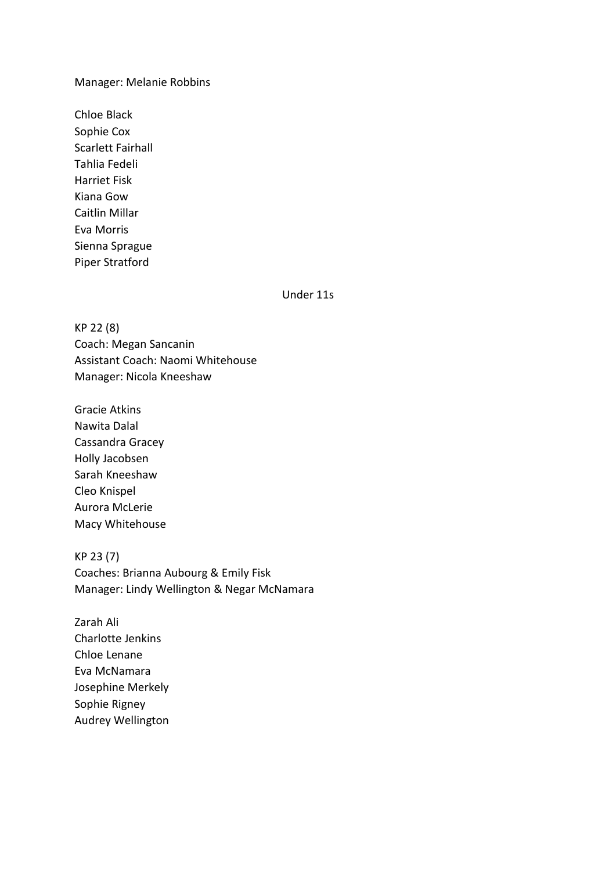### Manager: Melanie Robbins

Chloe Black Sophie Cox Scarlett Fairhall Tahlia Fedeli Harriet Fisk Kiana Gow Caitlin Millar Eva Morris Sienna Sprague Piper Stratford

Under 11s

KP 22 (8) Coach: Megan Sancanin Assistant Coach: Naomi Whitehouse Manager: Nicola Kneeshaw

Gracie Atkins Nawita Dalal Cassandra Gracey Holly Jacobsen Sarah Kneeshaw Cleo Knispel Aurora McLerie Macy Whitehouse

KP 23 (7) Coaches: Brianna Aubourg & Emily Fisk Manager: Lindy Wellington & Negar McNamara

Zarah Ali Charlotte Jenkins Chloe Lenane Eva McNamara Josephine Merkely Sophie Rigney Audrey Wellington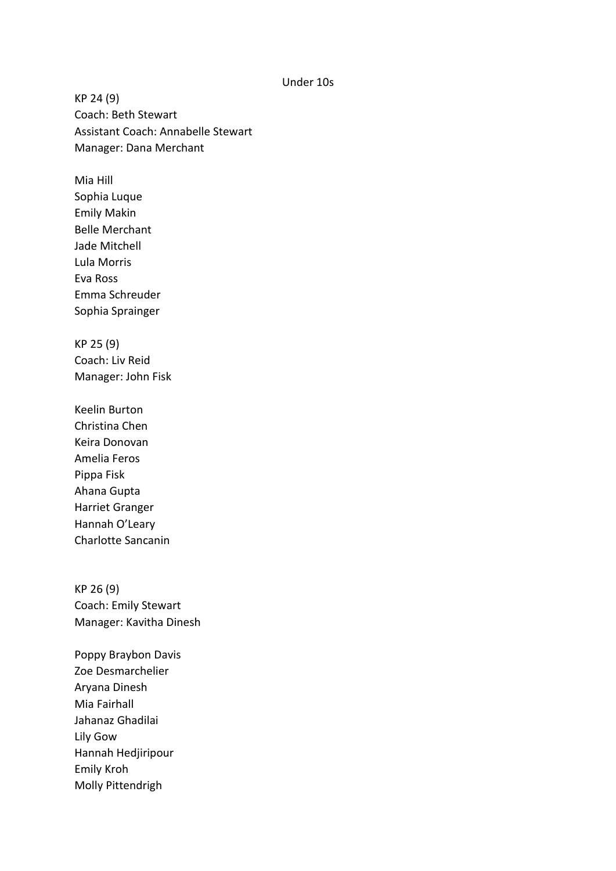#### Under 10s

KP 24 (9) Coach: Beth Stewart Assistant Coach: Annabelle Stewart Manager: Dana Merchant

Mia Hill Sophia Luque Emily Makin Belle Merchant Jade Mitchell Lula Morris Eva Ross Emma Schreuder Sophia Sprainger

KP 25 (9) Coach: Liv Reid Manager: John Fisk

Keelin Burton Christina Chen Keira Donovan Amelia Feros Pippa Fisk Ahana Gupta Harriet Granger Hannah O'Leary Charlotte Sancanin

KP 26 (9) Coach: Emily Stewart Manager: Kavitha Dinesh

Poppy Braybon Davis Zoe Desmarchelier Aryana Dinesh Mia Fairhall Jahanaz Ghadilai Lily Gow Hannah Hedjiripour Emily Kroh Molly Pittendrigh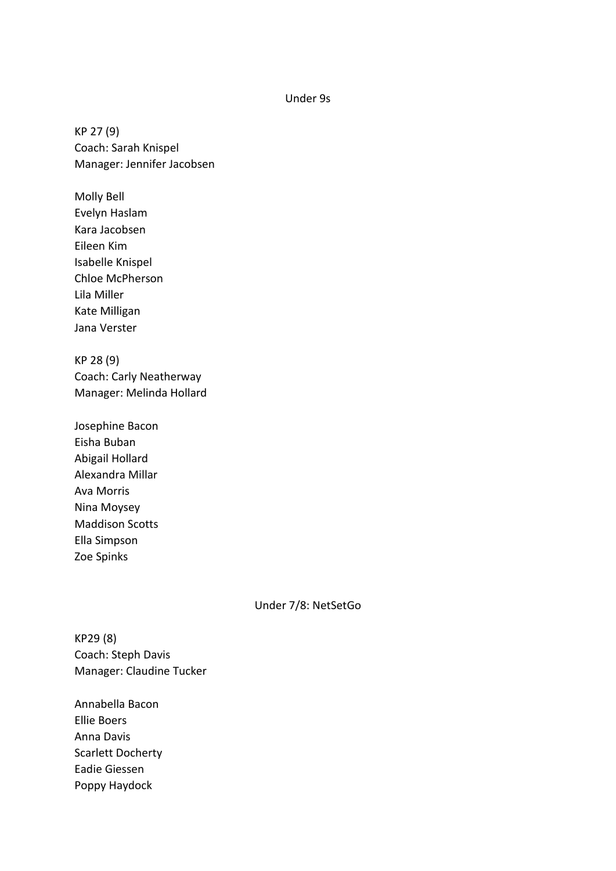## Under 9s

KP 27 (9) Coach: Sarah Knispel Manager: Jennifer Jacobsen

Molly Bell Evelyn Haslam Kara Jacobsen Eileen Kim Isabelle Knispel Chloe McPherson Lila Miller Kate Milligan Jana Verster

KP 28 (9) Coach: Carly Neatherway Manager: Melinda Hollard

Josephine Bacon Eisha Buban Abigail Hollard Alexandra Millar Ava Morris Nina Moysey Maddison Scotts Ella Simpson Zoe Spinks

# Under 7/8: NetSetGo

KP29 (8) Coach: Steph Davis Manager: Claudine Tucker

Annabella Bacon Ellie Boers Anna Davis Scarlett Docherty Eadie Giessen Poppy Haydock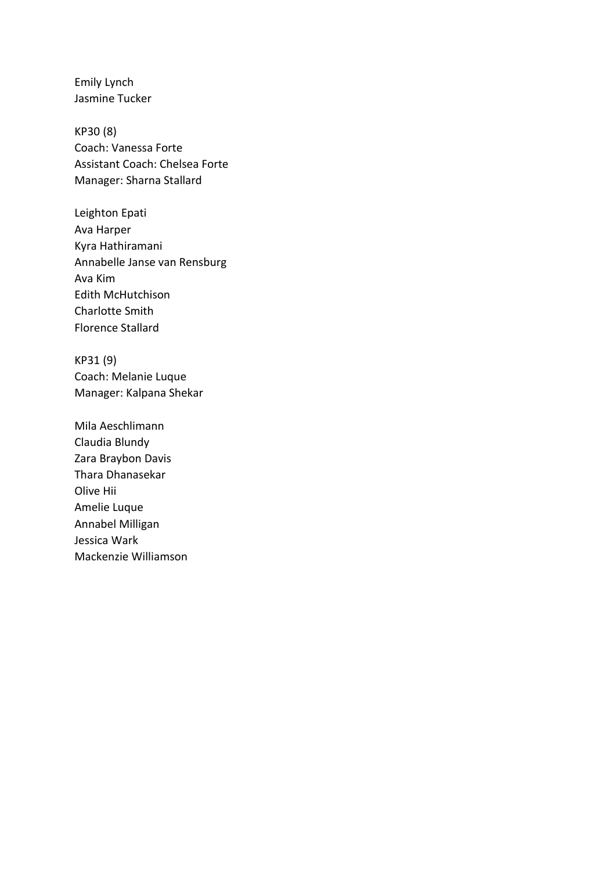Emily Lynch Jasmine Tucker

KP30 (8) Coach: Vanessa Forte Assistant Coach: Chelsea Forte Manager: Sharna Stallard

Leighton Epati Ava Harper Kyra Hathiramani Annabelle Janse van Rensburg Ava Kim Edith McHutchison Charlotte Smith Florence Stallard

KP31 (9) Coach: Melanie Luque Manager: Kalpana Shekar

Mila Aeschlimann Claudia Blundy Zara Braybon Davis Thara Dhanasekar Olive Hii Amelie Luque Annabel Milligan Jessica Wark Mackenzie Williamson